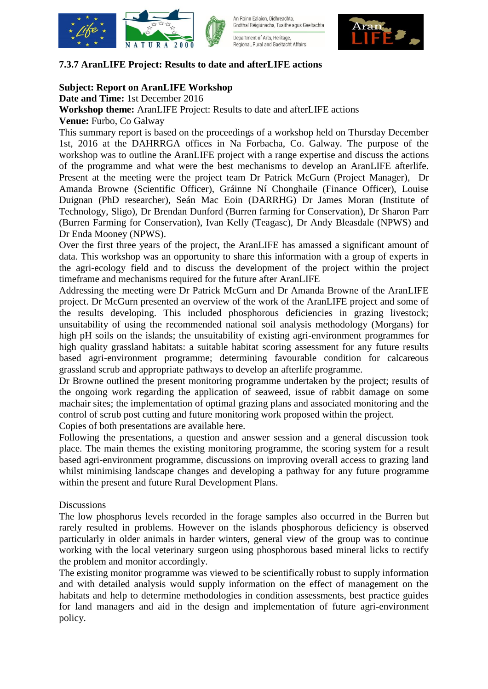

An Roinn Ealaíon, Oidhreachta. Gnóthaí Réigiúnacha. Tuaithe agus Gaeltachta Denartment of Arts, Heritage Beginners of Final, Hernage,<br>Regional, Rural and Gaeltacht Affairs



## **7.3.7 AranLIFE Project: Results to date and afterLIFE actions**

## **Subject: Report on AranLIFE Workshop**

**Date and Time:** 1st December 2016

**Workshop theme:** AranLIFE Project: Results to date and afterLIFE actions

**Venue:** Furbo, Co Galway

This summary report is based on the proceedings of a workshop held on Thursday December 1st, 2016 at the DAHRRGA offices in Na Forbacha, Co. Galway. The purpose of the workshop was to outline the AranLIFE project with a range expertise and discuss the actions of the programme and what were the best mechanisms to develop an AranLIFE afterlife. Present at the meeting were the project team Dr Patrick McGurn (Project Manager), Dr Amanda Browne (Scientific Officer), Gráinne Ní Chonghaile (Finance Officer), Louise Duignan (PhD researcher), Seán Mac Eoin (DARRHG) Dr James Moran (Institute of Technology, Sligo), Dr Brendan Dunford (Burren farming for Conservation), Dr Sharon Parr (Burren Farming for Conservation), Ivan Kelly (Teagasc), Dr Andy Bleasdale (NPWS) and Dr Enda Mooney (NPWS).

Over the first three years of the project, the AranLIFE has amassed a significant amount of data. This workshop was an opportunity to share this information with a group of experts in the agri-ecology field and to discuss the development of the project within the project timeframe and mechanisms required for the future after AranLIFE

Addressing the meeting were Dr Patrick McGurn and Dr Amanda Browne of the AranLIFE project. Dr McGurn presented an overview of the work of the AranLIFE project and some of the results developing. This included phosphorous deficiencies in grazing livestock; unsuitability of using the recommended national soil analysis methodology (Morgans) for high pH soils on the islands; the unsuitability of existing agri-environment programmes for high quality grassland habitats: a suitable habitat scoring assessment for any future results based agri-environment programme; determining favourable condition for calcareous grassland scrub and appropriate pathways to develop an afterlife programme.

Dr Browne outlined the present monitoring programme undertaken by the project; results of the ongoing work regarding the application of seaweed, issue of rabbit damage on some machair sites; the implementation of optimal grazing plans and associated monitoring and the control of scrub post cutting and future monitoring work proposed within the project.

Copies of both presentations are available here.

Following the presentations, a question and answer session and a general discussion took place. The main themes the existing monitoring programme, the scoring system for a result based agri-environment programme, discussions on improving overall access to grazing land whilst minimising landscape changes and developing a pathway for any future programme within the present and future Rural Development Plans.

## **Discussions**

The low phosphorus levels recorded in the forage samples also occurred in the Burren but rarely resulted in problems. However on the islands phosphorous deficiency is observed particularly in older animals in harder winters, general view of the group was to continue working with the local veterinary surgeon using phosphorous based mineral licks to rectify the problem and monitor accordingly.

The existing monitor programme was viewed to be scientifically robust to supply information and with detailed analysis would supply information on the effect of management on the habitats and help to determine methodologies in condition assessments, best practice guides for land managers and aid in the design and implementation of future agri-environment policy.